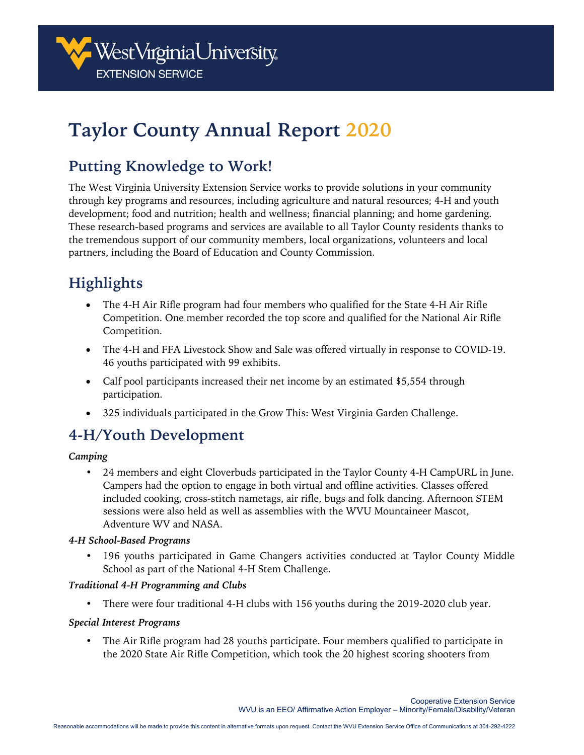

# **Taylor County Annual Report 2020**

### **Putting Knowledge to Work!**

The West Virginia University Extension Service works to provide solutions in your community through key programs and resources, including agriculture and natural resources; 4-H and youth development; food and nutrition; health and wellness; financial planning; and home gardening. These research-based programs and services are available to all Taylor County residents thanks to the tremendous support of our community members, local organizations, volunteers and local partners, including the Board of Education and County Commission.

## **Highlights**

- The 4-H Air Rifle program had four members who qualified for the State 4-H Air Rifle Competition. One member recorded the top score and qualified for the National Air Rifle Competition.
- The 4-H and FFA Livestock Show and Sale was offered virtually in response to COVID-19. 46 youths participated with 99 exhibits.
- Calf pool participants increased their net income by an estimated \$5,554 through participation.
- 325 individuals participated in the Grow This: West Virginia Garden Challenge.

### **4-H/Youth Development**

#### *Camping*

• 24 members and eight Cloverbuds participated in the Taylor County 4-H CampURL in June. Campers had the option to engage in both virtual and offline activities. Classes offered included cooking, cross-stitch nametags, air rifle, bugs and folk dancing. Afternoon STEM sessions were also held as well as assemblies with the WVU Mountaineer Mascot, Adventure WV and NASA.

#### *4-H School-Based Programs*

• 196 youths participated in Game Changers activities conducted at Taylor County Middle School as part of the National 4-H Stem Challenge.

#### *Traditional 4-H Programming and Clubs*

• There were four traditional 4-H clubs with 156 youths during the 2019-2020 club year.

#### *Special Interest Programs*

• The Air Rifle program had 28 youths participate. Four members qualified to participate in the 2020 State Air Rifle Competition, which took the 20 highest scoring shooters from